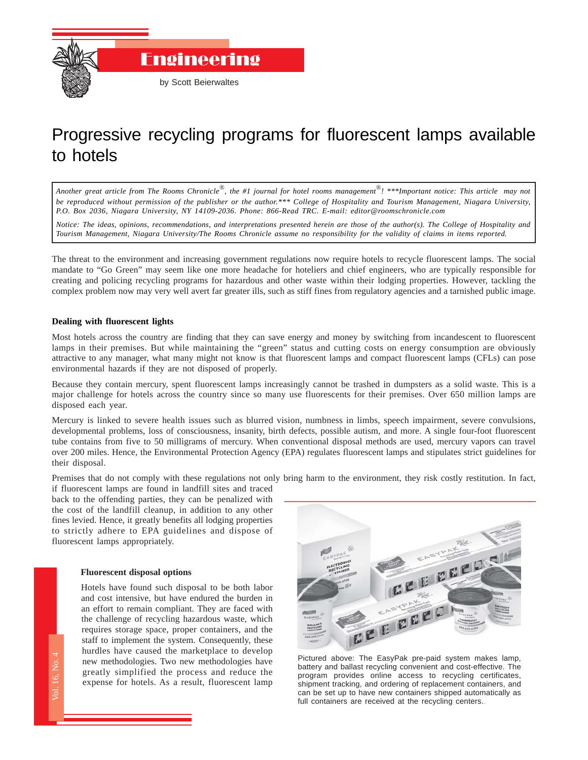

# Progressive recycling programs for fluorescent lamps available to hotels

*Another great article from The Rooms Chronicle*®*, the #1 journal for hotel rooms management*®*! \*\*\*Important notice: This article may not be reproduced without permission of the publisher or the author.\*\*\* College of Hospitality and Tourism Management, Niagara University, P.O. Box 2036, Niagara University, NY 14109-2036. Phone: 866-Read TRC. E-mail: editor@roomschronicle.com*

*Notice: The ideas, opinions, recommendations, and interpretations presented herein are those of the author(s). The College of Hospitality and Tourism Management, Niagara University/The Rooms Chronicle assume no responsibility for the validity of claims in items reported.*

The threat to the environment and increasing government regulations now require hotels to recycle fluorescent lamps. The social mandate to "Go Green" may seem like one more headache for hoteliers and chief engineers, who are typically responsible for creating and policing recycling programs for hazardous and other waste within their lodging properties. However, tackling the complex problem now may very well avert far greater ills, such as stiff fines from regulatory agencies and a tarnished public image.

### **Dealing with fluorescent lights**

Most hotels across the country are finding that they can save energy and money by switching from incandescent to fluorescent lamps in their premises. But while maintaining the "green" status and cutting costs on energy consumption are obviously attractive to any manager, what many might not know is that fluorescent lamps and compact fluorescent lamps (CFLs) can pose environmental hazards if they are not disposed of properly.

Because they contain mercury, spent fluorescent lamps increasingly cannot be trashed in dumpsters as a solid waste. This is a major challenge for hotels across the country since so many use fluorescents for their premises. Over 650 million lamps are disposed each year.

Mercury is linked to severe health issues such as blurred vision, numbness in limbs, speech impairment, severe convulsions, developmental problems, loss of consciousness, insanity, birth defects, possible autism, and more. A single four-foot fluorescent tube contains from five to 50 milligrams of mercury. When conventional disposal methods are used, mercury vapors can travel over 200 miles. Hence, the Environmental Protection Agency (EPA) regulates fluorescent lamps and stipulates strict guidelines for their disposal.

Premises that do not comply with these regulations not only bring harm to the environment, they risk costly restitution. In fact,

if fluorescent lamps are found in landfill sites and traced back to the offending parties, they can be penalized with the cost of the landfill cleanup, in addition to any other fines levied. Hence, it greatly benefits all lodging properties to strictly adhere to EPA guidelines and dispose of fluorescent lamps appropriately.

#### **Fluorescent disposal options**

The Rooms Chronicle<br>The Rooms Chronicles<br>The Rooms Chronicles<br>The Rooms Chronicles Hotels have found such disposal to be both labor and cost intensive, but have endured the burden in an effort to remain compliant. They are faced with the challenge of recycling hazardous waste, which requires storage space, proper containers, and the staff to implement the system. Consequently, these hurdles have caused the marketplace to develop new methodologies. Two new methodologies have greatly simplified the process and reduce the expense for hotels. As a result, fluorescent lamp



Pictured above: The EasyPak pre-paid system makes lamp, battery and ballast recycling convenient and cost-effective. The program provides online access to recycling certificates, shipment tracking, and ordering of replacement containers, and can be set up to have new containers shipped automatically as full containers are received at the recycling centers.